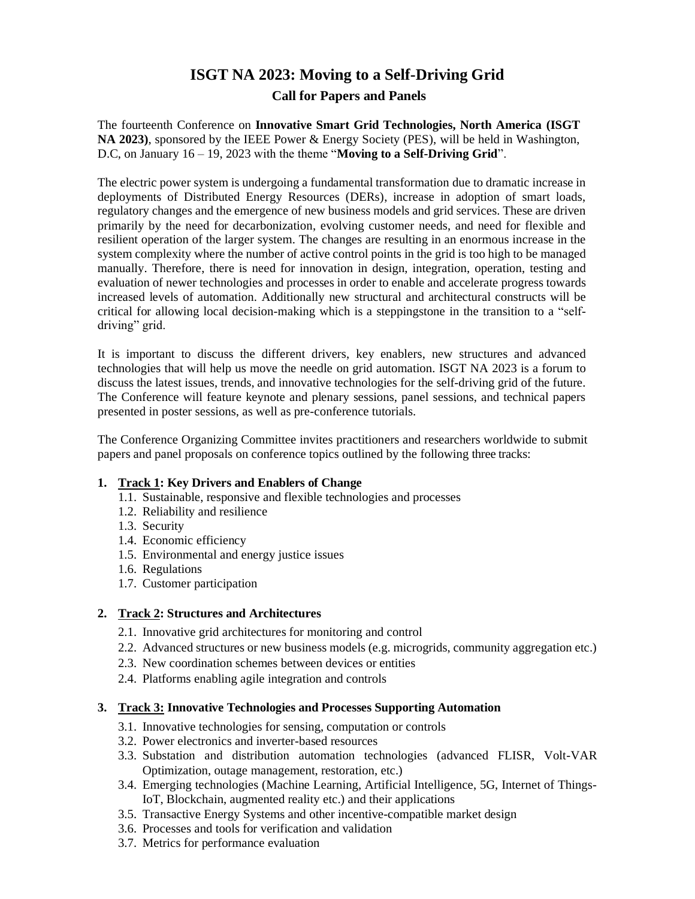# **ISGT NA 2023: Moving to a Self-Driving Grid Call for Papers and Panels**

The fourteenth Conference on **Innovative Smart Grid Technologies, North America (ISGT NA 2023)**, sponsored by the IEEE Power & Energy Society (PES), will be held in Washington, D.C, on January 16 – 19, 2023 with the theme "**Moving to a Self-Driving Grid**".

The electric power system is undergoing a fundamental transformation due to dramatic increase in deployments of Distributed Energy Resources (DERs), increase in adoption of smart loads, regulatory changes and the emergence of new business models and grid services. These are driven primarily by the need for decarbonization, evolving customer needs, and need for flexible and resilient operation of the larger system. The changes are resulting in an enormous increase in the system complexity where the number of active control points in the grid is too high to be managed manually. Therefore, there is need for innovation in design, integration, operation, testing and evaluation of newer technologies and processes in order to enable and accelerate progress towards increased levels of automation. Additionally new structural and architectural constructs will be critical for allowing local decision-making which is a steppingstone in the transition to a "selfdriving" grid.

It is important to discuss the different drivers, key enablers, new structures and advanced technologies that will help us move the needle on grid automation. ISGT NA 2023 is a forum to discuss the latest issues, trends, and innovative technologies for the self-driving grid of the future. The Conference will feature keynote and plenary sessions, panel sessions, and technical papers presented in poster sessions, as well as pre-conference tutorials.

The Conference Organizing Committee invites practitioners and researchers worldwide to submit papers and panel proposals on conference topics outlined by the following three tracks:

#### **1. Track 1: Key Drivers and Enablers of Change**

- 1.1. Sustainable, responsive and flexible technologies and processes
- 1.2. Reliability and resilience
- 1.3. Security
- 1.4. Economic efficiency
- 1.5. Environmental and energy justice issues
- 1.6. Regulations
- 1.7. Customer participation

### **2. Track 2: Structures and Architectures**

- 2.1. Innovative grid architectures for monitoring and control
- 2.2. Advanced structures or new business models (e.g. microgrids, community aggregation etc.)
- 2.3. New coordination schemes between devices or entities
- 2.4. Platforms enabling agile integration and controls

#### **3. Track 3: Innovative Technologies and Processes Supporting Automation**

- 3.1. Innovative technologies for sensing, computation or controls
- 3.2. Power electronics and inverter-based resources
- 3.3. Substation and distribution automation technologies (advanced FLISR, Volt-VAR Optimization, outage management, restoration, etc.)
- 3.4. Emerging technologies (Machine Learning, Artificial Intelligence, 5G, Internet of Things-IoT, Blockchain, augmented reality etc.) and their applications
- 3.5. Transactive Energy Systems and other incentive-compatible market design
- 3.6. Processes and tools for verification and validation
- 3.7. Metrics for performance evaluation